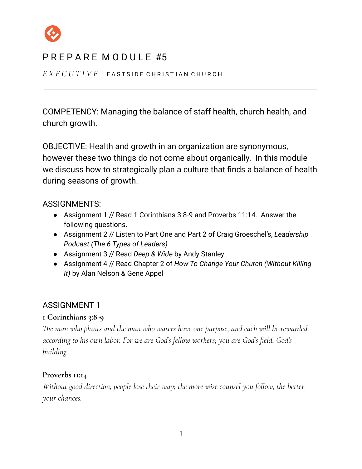

*E X E C U T I V E* | E A S T S I D E C H R I S T I A N C H U R C H

COMPETENCY: Managing the balance of staff health, church health, and church growth.

OBJECTIVE: Health and growth in an organization are synonymous, however these two things do not come about organically. In this module we discuss how to strategically plan a culture that finds a balance of health during seasons of growth.

## ASSIGNMENTS:

- Assignment 1 // Read 1 Corinthians 3:8-9 and Proverbs 11:14. Answer the following questions.
- Assignment 2 // Listen to Part One and Part 2 of Craig Groeschel's, *Leadership Podcast (The 6 Types of Leaders)*
- Assignment 3 // Read *Deep & Wide* by Andy Stanley
- Assignment 4 // Read Chapter 2 of *How To Change Your Church (Without Killing It)* by Alan Nelson & Gene Appel

## ASSIGNMENT 1

### **1 Corinthians 3:8-9**

*The man who plants and the man who waters have one purpose, and each will be rewarded according to his own labor. For we are God's fellow workers; you are God's field, God's building.*

### **Proverbs 11:14**

*Without good direction, people lose their way; the more wise counsel you follow, the better your chances.*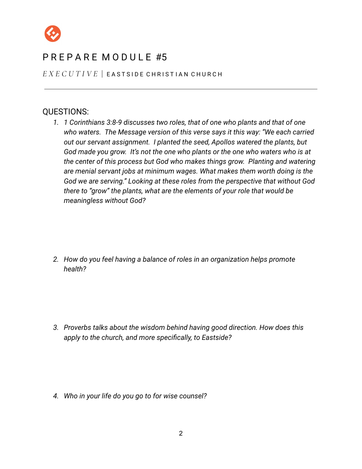

*E X E C U T I V E* | E A S T S I D E C H R I S T I A N C H U R C H

#### QUESTIONS:

*1. 1 Corinthians 3:8-9 discusses two roles, that of one who plants and that of one who waters. The Message version of this verse says it this way: "We each carried out our servant assignment. I planted the seed, Apollos watered the plants, but God made you grow. It's not the one who plants or the one who waters who is at the center of this process but God who makes things grow. Planting and watering are menial servant jobs at minimum wages. What makes them worth doing is the God we are serving." Looking at these roles from the perspective that without God there to "grow" the plants, what are the elements of your role that would be meaningless without God?*

*2. How do you feel having a balance of roles in an organization helps promote health?*

*3. Proverbs talks about the wisdom behind having good direction. How does this apply to the church, and more specifically, to Eastside?*

*4. Who in your life do you go to for wise counsel?*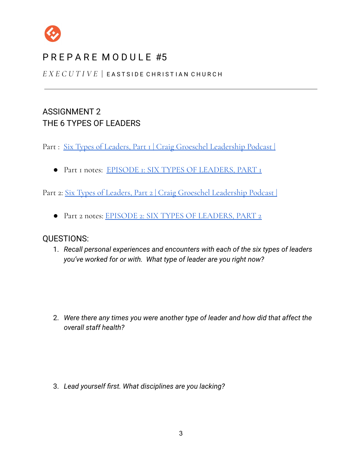

*E X E C U T I V E* | E A S T S I D E C H R I S T I A N C H U R C H

## ASSIGNMENT 2 THE 6 TYPES OF LEADERS

Part : Six Types of Leaders, Part I | Craig Groeschel [Leadership](https://www.life.church/leadershippodcast/six-types-of-leaders-part-1/) Podcast |

● Part 1 notes: EPISODE 1: SIX TYPES OF [LEADERS,](https://api-assets.life.church/assets/cg-show-notes/six-types-of-leaders-part-1.pdf) PART 1

Part 2: Six Types of Leaders, Part 2 | Craig Groeschel [Leadership](https://www.life.church/leadershippodcast/six-types-of-leaders-part-2/) Podcast |

● Part 2 notes: EPISODE 2: SIX TYPES OF [LEADERS,](https://api-assets.life.church/assets/cg-show-notes/six-types-of-leaders-part-2.pdf) PART 2

### QUESTIONS:

1. *Recall personal experiences and encounters with each of the six types of leaders you've worked for or with. What type of leader are you right now?*

2. *Were there any times you were another type of leader and how did that affect the overall staff health?*

3. *Lead yourself first. What disciplines are you lacking?*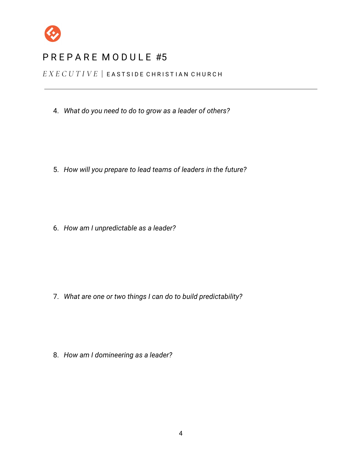

*E X E C U T I V E* | E A S T S I D E C H R I S T I A N C H U R C H

4. *What do you need to do to grow as a leader of others?*

5. *How will you prepare to lead teams of leaders in the future?*

6. *How am I unpredictable as a leader?*

7. *What are one or two things I can do to build predictability?*

8. *How am I domineering as a leader?*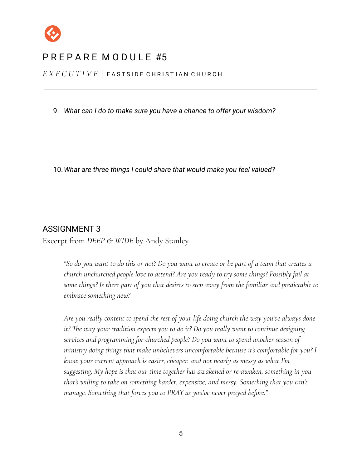

*E X E C U T I V E* | E A S T S I D E C H R I S T I A N C H U R C H

9. *What can I do to make sure you have a chance to offer your wisdom?*

10.*What are three things I could share that would make you feel valued?*

#### ASSIGNMENT 3

Excerpt from *DEEP & WIDE* by Andy Stanley

"So do you want to do this or not? Do you want to create or be part of a team that creates a *church unchurched people love to attend? Are you ready to try some things? Possibly fail at some things? Is there part of you that desires to step away from the familiar and predictable to embrace something new?*

*Are you really content to spend the rest of your life doing church the way you've always done it? The way your tradition expects you to do it? Do you really want to continue designing services and programming for churched people? Do you want to spend another season of ministry doing things that make unbelievers uncomfortable because it's comfortable for you? I know your current approach is easier, cheaper, and not nearly as messy as what I'm suggesting. My hope is that our time together has awakened or re-awaken, something in you that's willing to take on something harder, expensive, and messy. Something that you can't manage. Something that forces you to PRAY as you've never prayed before."*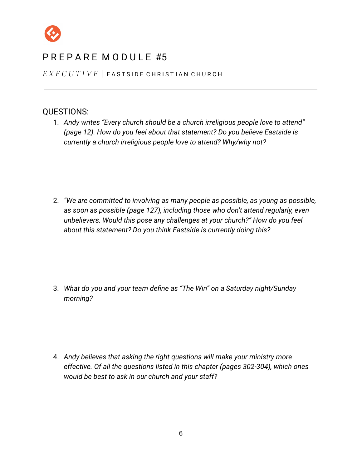

*E X E C U T I V E* | E A S T S I D E C H R I S T I A N C H U R C H

### QUESTIONS:

1. *Andy writes "Every church should be a church irreligious people love to attend" (page 12). How do you feel about that statement? Do you believe Eastside is currently a church irreligious people love to attend? Why/why not?*

2. *"We are committed to involving as many people as possible, as young as possible, as soon as possible (page 127), including those who don't attend regularly, even unbelievers. Would this pose any challenges at your church?" How do you feel about this statement? Do you think Eastside is currently doing this?*

3. *What do you and your team define as "The Win" on a Saturday night/Sunday morning?*

4. *Andy believes that asking the right questions will make your ministry more effective. Of all the questions listed in this chapter (pages 302-304), which ones would be best to ask in our church and your staff?*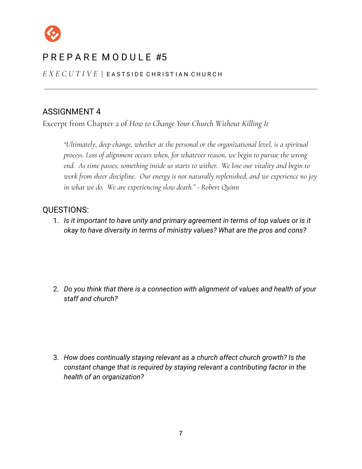

*E X E C U T I V E* | E A S T S I D E C H R I S T I A N C H U R C H

## ASSIGNMENT 4

Excerpt from Chapter 2 of *How to Change Your Church Without Killing It*

*"Ultimately, deep change, whether at the personal or the organizational level, is a spiritual process. Loss of alignment occurs when, for whatever reason, we begin to pursue the wrong end. As time passes, something inside us starts to wither. We lose our vitality and begin to work from sheer discipline. Our energy is not naturally replenished, and we experience no joy in what we do. We are experiencing slow death." - Robert Quinn*

### QUESTIONS:

1. *Is it important to have unity and primary agreement in terms of top values or is it okay to have diversity in terms of ministry values? What are the pros and cons?*

2. *Do you think that there is a connection with alignment of values and health of your staff and church?*

3. *How does continually staying relevant as a church affect church growth? Is the constant change that is required by staying relevant a contributing factor in the health of an organization?*